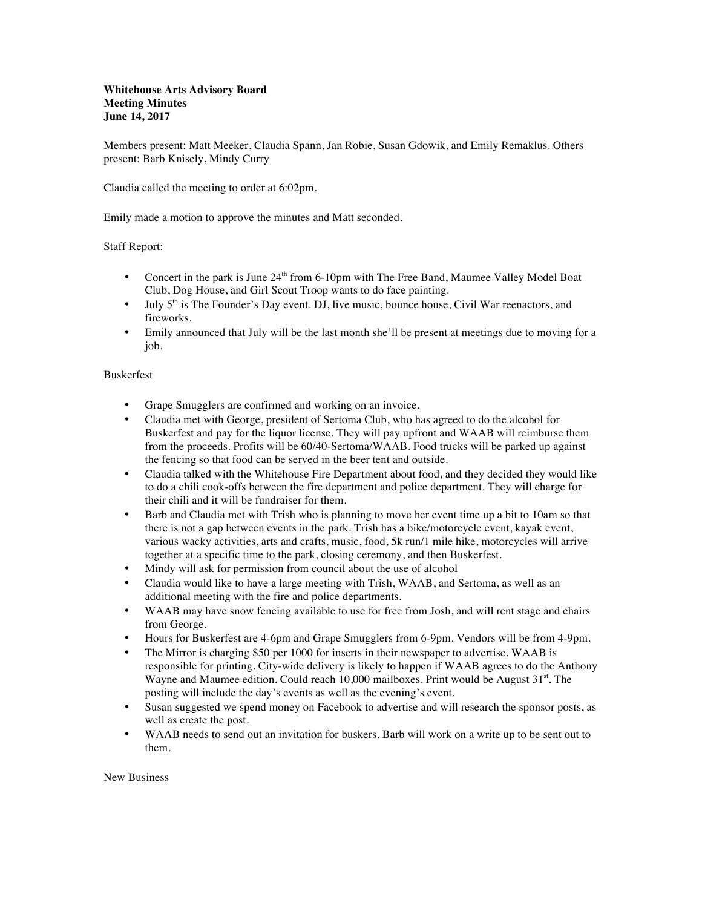Members present: Matt Meeker, Claudia Spann, Jan Robie, Susan Gdowik, and Emily Remaklus. Others present: Barb Knisely, Mindy Curry

Claudia called the meeting to order at 6:02pm.

Emily made a motion to approve the minutes and Matt seconded.

## Staff Report:

- Concert in the park is June  $24<sup>th</sup>$  from 6-10pm with The Free Band, Maumee Valley Model Boat Club, Dog House, and Girl Scout Troop wants to do face painting.
- July  $5<sup>th</sup>$  is The Founder's Day event. DJ, live music, bounce house, Civil War reenactors, and fireworks.
- Emily announced that July will be the last month she'll be present at meetings due to moving for a job.

## Buskerfest

- Grape Smugglers are confirmed and working on an invoice.
- Claudia met with George, president of Sertoma Club, who has agreed to do the alcohol for Buskerfest and pay for the liquor license. They will pay upfront and WAAB will reimburse them from the proceeds. Profits will be 60/40-Sertoma/WAAB. Food trucks will be parked up against the fencing so that food can be served in the beer tent and outside.
- Claudia talked with the Whitehouse Fire Department about food, and they decided they would like to do a chili cook-offs between the fire department and police department. They will charge for their chili and it will be fundraiser for them.
- Barb and Claudia met with Trish who is planning to move her event time up a bit to 10am so that there is not a gap between events in the park. Trish has a bike/motorcycle event, kayak event, various wacky activities, arts and crafts, music, food, 5k run/1 mile hike, motorcycles will arrive together at a specific time to the park, closing ceremony, and then Buskerfest.
- Mindy will ask for permission from council about the use of alcohol
- Claudia would like to have a large meeting with Trish, WAAB, and Sertoma, as well as an additional meeting with the fire and police departments.
- WAAB may have snow fencing available to use for free from Josh, and will rent stage and chairs from George.
- Hours for Buskerfest are 4-6pm and Grape Smugglers from 6-9pm. Vendors will be from 4-9pm.
- The Mirror is charging \$50 per 1000 for inserts in their newspaper to advertise. WAAB is responsible for printing. City-wide delivery is likely to happen if WAAB agrees to do the Anthony Wayne and Maumee edition. Could reach  $10,000$  mailboxes. Print would be August  $31<sup>st</sup>$ . The posting will include the day's events as well as the evening's event.
- Susan suggested we spend money on Facebook to advertise and will research the sponsor posts, as well as create the post.
- WAAB needs to send out an invitation for buskers. Barb will work on a write up to be sent out to them.

New Business